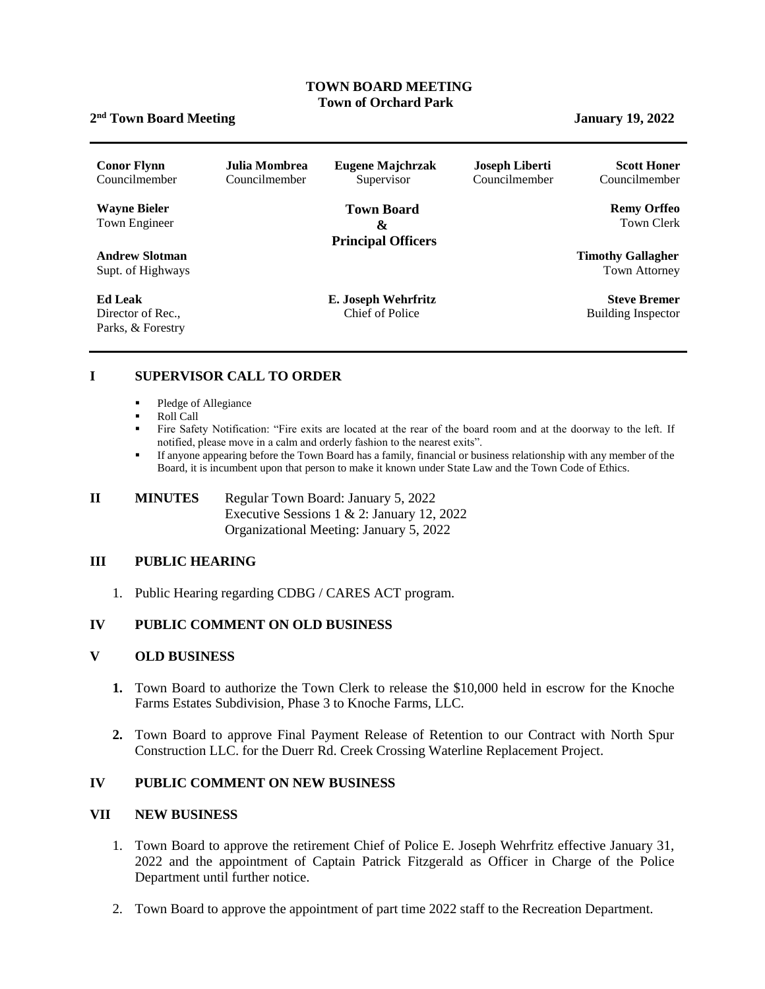#### **TOWN BOARD MEETING Town of Orchard Park**

## **2 nd Town Board Meeting January 19, 2022**

| <b>Conor Flynn</b><br>Councilmember                      | Julia Mombrea<br>Councilmember | Eugene Majchrzak<br>Supervisor                                          | <b>Joseph Liberti</b><br>Councilmember | <b>Scott Honer</b><br>Councilmember              |
|----------------------------------------------------------|--------------------------------|-------------------------------------------------------------------------|----------------------------------------|--------------------------------------------------|
| <b>Wayne Bieler</b><br>Town Engineer                     |                                | <b>Town Board</b><br>$\boldsymbol{\alpha}$<br><b>Principal Officers</b> |                                        | <b>Remy Orffeo</b><br>Town Clerk                 |
| <b>Andrew Slotman</b><br>Supt. of Highways               |                                |                                                                         |                                        | <b>Timothy Gallagher</b><br><b>Town Attorney</b> |
| <b>Ed Leak</b><br>Director of Rec.,<br>Parks, & Forestry |                                | E. Joseph Wehrfritz<br>Chief of Police                                  |                                        | <b>Steve Bremer</b><br><b>Building Inspector</b> |

## **I SUPERVISOR CALL TO ORDER**

- Pledge of Allegiance
- Roll Call
- Fire Safety Notification: "Fire exits are located at the rear of the board room and at the doorway to the left. If notified, please move in a calm and orderly fashion to the nearest exits".
- If anyone appearing before the Town Board has a family, financial or business relationship with any member of the Board, it is incumbent upon that person to make it known under State Law and the Town Code of Ethics.

# **II MINUTES Regular Town Board: January 5, 2022** Executive Sessions 1 & 2: January 12, 2022 Organizational Meeting: January 5, 2022

#### **III PUBLIC HEARING**

1. Public Hearing regarding CDBG / CARES ACT program.

## **IV PUBLIC COMMENT ON OLD BUSINESS**

#### **V OLD BUSINESS**

- **1.** Town Board to authorize the Town Clerk to release the \$10,000 held in escrow for the Knoche Farms Estates Subdivision, Phase 3 to Knoche Farms, LLC.
- **2.** Town Board to approve Final Payment Release of Retention to our Contract with North Spur Construction LLC. for the Duerr Rd. Creek Crossing Waterline Replacement Project.

## **IV PUBLIC COMMENT ON NEW BUSINESS**

#### **VII NEW BUSINESS**

- 1. Town Board to approve the retirement Chief of Police E. Joseph Wehrfritz effective January 31, 2022 and the appointment of Captain Patrick Fitzgerald as Officer in Charge of the Police Department until further notice.
- 2. Town Board to approve the appointment of part time 2022 staff to the Recreation Department.